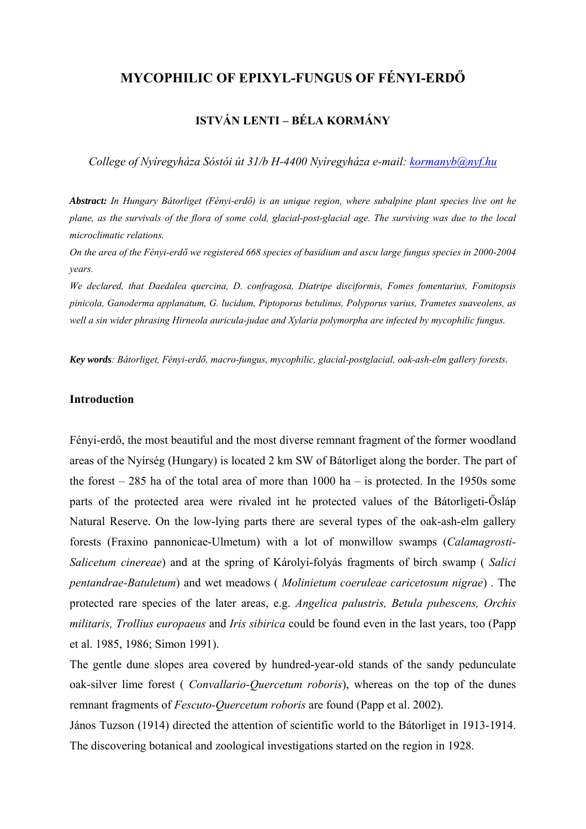# **MYCOPHILIC OF EPIXYL-FUNGUS OF FÉNYI-ERDŐ**

## **ISTVÁN LENTI – BÉLA KORMÁNY**

*College of Nyíregyháza Sóstói út 31/b H-4400 Nyíregyháza e-mail: [kormanyb@nyf.hu](mailto:kormanyb@nyf.hu)*

*Abstract: In Hungary Bátorliget (Fényi-erdő) is an unique region, where subalpine plant species live ont he plane, as the survivals of the flora of some cold, glacial-post-glacial age. The surviving was due to the local microclimatic relations.* 

*On the area of the Fényi-erdő we registered 668 species of basidium and ascu large fungus species in 2000-2004 years.* 

*We declared, that Daedalea quercina, D. confragosa, Diatripe disciformis, Fomes fomentarius, Fomitopsis pinicola, Ganoderma applanatum, G. lucidum, Piptoporus betulinus, Polyporus varius, Trametes suaveolens, as well a sin wider phrasing Hirneola auricula-judae and Xylaria polymorpha are infected by mycophilic fungus.* 

*Key words: Bátorliget, Fényi-erdő, macro-fungus, mycophilic, glacial-postglacial, oak-ash-elm gallery forests.* 

#### **Introduction**

Fényi-erdő, the most beautiful and the most diverse remnant fragment of the former woodland areas of the Nyírség (Hungary) is located 2 km SW of Bátorliget along the border. The part of the forest  $-285$  ha of the total area of more than 1000 ha  $-$  is protected. In the 1950s some parts of the protected area were rivaled int he protected values of the Bátorligeti-Ősláp Natural Reserve. On the low-lying parts there are several types of the oak-ash-elm gallery forests (Fraxino pannonicae-Ulmetum) with a lot of monwillow swamps (*Calamagrosti-Salicetum cinereae*) and at the spring of Károlyi-folyás fragments of birch swamp ( *Salici pentandrae-Batuletum*) and wet meadows ( *Molinietum coeruleae caricetosum nigrae*) . The protected rare species of the later areas, e.g. *Angelica palustris, Betula pubescens, Orchis militaris, Trollius europaeus* and *Iris sibirica* could be found even in the last years, too (Papp et al. 1985, 1986; Simon 1991).

The gentle dune slopes area covered by hundred-year-old stands of the sandy pedunculate oak-silver lime forest ( *Convallario-Quercetum roboris*), whereas on the top of the dunes remnant fragments of *Fescuto-Quercetum roboris* are found (Papp et al. 2002).

János Tuzson (1914) directed the attention of scientific world to the Bátorliget in 1913-1914. The discovering botanical and zoological investigations started on the region in 1928.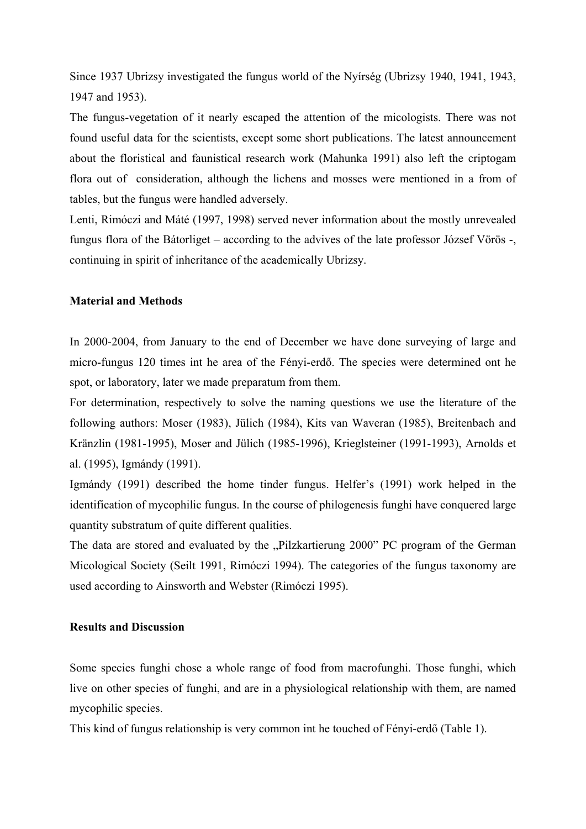Since 1937 Ubrizsy investigated the fungus world of the Nyírség (Ubrizsy 1940, 1941, 1943, 1947 and 1953).

The fungus-vegetation of it nearly escaped the attention of the micologists. There was not found useful data for the scientists, except some short publications. The latest announcement about the floristical and faunistical research work (Mahunka 1991) also left the criptogam flora out of consideration, although the lichens and mosses were mentioned in a from of tables, but the fungus were handled adversely.

Lenti, Rimóczi and Máté (1997, 1998) served never information about the mostly unrevealed fungus flora of the Bátorliget – according to the advives of the late professor József Vörös -, continuing in spirit of inheritance of the academically Ubrizsy.

#### **Material and Methods**

In 2000-2004, from January to the end of December we have done surveying of large and micro-fungus 120 times int he area of the Fényi-erdő. The species were determined ont he spot, or laboratory, later we made preparatum from them.

For determination, respectively to solve the naming questions we use the literature of the following authors: Moser (1983), Jülich (1984), Kits van Waveran (1985), Breitenbach and Kränzlin (1981-1995), Moser and Jülich (1985-1996), Krieglsteiner (1991-1993), Arnolds et al. (1995), Igmándy (1991).

Igmándy (1991) described the home tinder fungus. Helfer's (1991) work helped in the identification of mycophilic fungus. In the course of philogenesis funghi have conquered large quantity substratum of quite different qualities.

The data are stored and evaluated by the "Pilzkartierung 2000" PC program of the German Micological Society (Seilt 1991, Rimóczi 1994). The categories of the fungus taxonomy are used according to Ainsworth and Webster (Rimóczi 1995).

#### **Results and Discussion**

Some species funghi chose a whole range of food from macrofunghi. Those funghi, which live on other species of funghi, and are in a physiological relationship with them, are named mycophilic species.

This kind of fungus relationship is very common int he touched of Fényi-erdő (Table 1).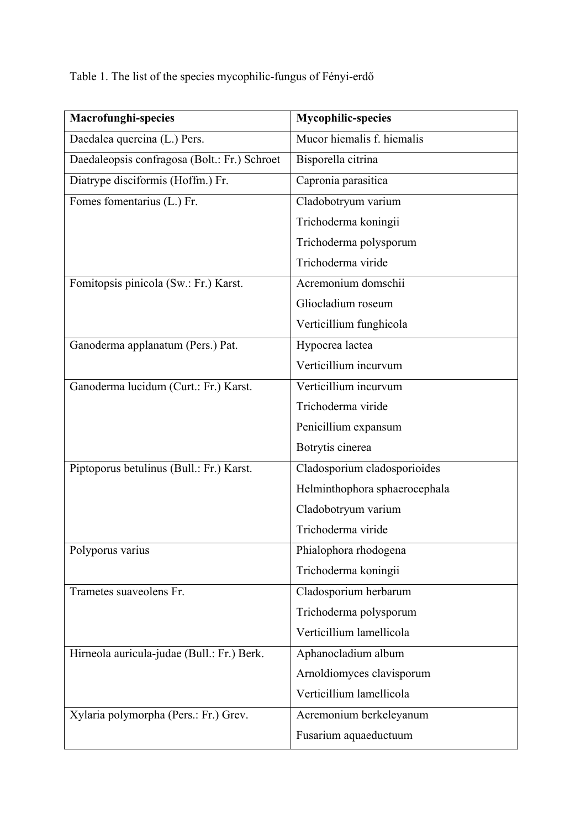Table 1. The list of the species mycophilic-fungus of Fényi-erdő

| <b>Macrofunghi-species</b>                   | <b>Mycophilic-species</b>     |
|----------------------------------------------|-------------------------------|
| Daedalea quercina (L.) Pers.                 | Mucor hiemalis f. hiemalis    |
| Daedaleopsis confragosa (Bolt.: Fr.) Schroet | Bisporella citrina            |
| Diatrype disciformis (Hoffm.) Fr.            | Capronia parasitica           |
| Fomes fomentarius (L.) Fr.                   | Cladobotryum varium           |
|                                              | Trichoderma koningii          |
|                                              | Trichoderma polysporum        |
|                                              | Trichoderma viride            |
| Fomitopsis pinicola (Sw.: Fr.) Karst.        | Acremonium domschii           |
|                                              | Gliocladium roseum            |
|                                              | Verticillium funghicola       |
| Ganoderma applanatum (Pers.) Pat.            | Hypocrea lactea               |
|                                              | Verticillium incurvum         |
| Ganoderma lucidum (Curt.: Fr.) Karst.        | Verticillium incurvum         |
|                                              | Trichoderma viride            |
|                                              | Penicillium expansum          |
|                                              | Botrytis cinerea              |
| Piptoporus betulinus (Bull.: Fr.) Karst.     | Cladosporium cladosporioides  |
|                                              | Helminthophora sphaerocephala |
|                                              | Cladobotryum varium           |
|                                              | Trichoderma viride            |
| Polyporus varius                             | Phialophora rhodogena         |
|                                              | Trichoderma koningii          |
| Trametes suaveolens Fr.                      | Cladosporium herbarum         |
|                                              | Trichoderma polysporum        |
|                                              | Verticillium lamellicola      |
| Hirneola auricula-judae (Bull.: Fr.) Berk.   | Aphanocladium album           |
|                                              | Arnoldiomyces clavisporum     |
|                                              | Verticillium lamellicola      |
| Xylaria polymorpha (Pers.: Fr.) Grev.        | Acremonium berkeleyanum       |
|                                              | Fusarium aquaeductuum         |